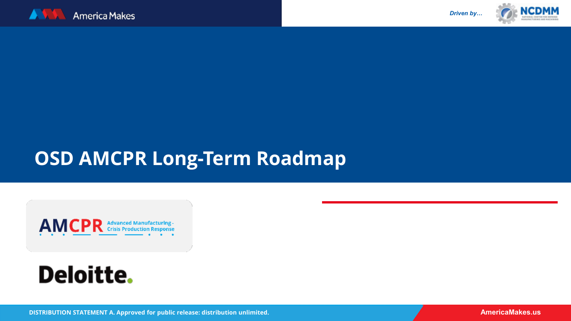



# *Driven by…Driven by… Driven by…*

## **OSD AMCPR Long-Term Roadmap**

AMCPR Advanced Manufacturing-

## **Deloitte.**

**DISTRIBUTION STATEMENT A. Approved for public release: distribution unlimited.**

**AmericaMakes.us AmericaMakes.us**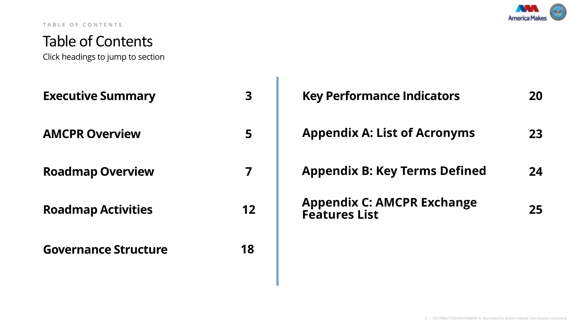

#### **TABLE OF CONTENTS**

### Table of Contents

Click headings to jump to section

| <b>Executive Summary</b>    | $\overline{\mathbf{3}}$ | <b>Key Performance Indicators</b>                   | 20 |
|-----------------------------|-------------------------|-----------------------------------------------------|----|
| <b>AMCPR Overview</b>       | 5                       | <b>Appendix A: List of Acronyms</b>                 | 23 |
| <b>Roadmap Overview</b>     | 7                       | <b>Appendix B: Key Terms Defined</b>                | 24 |
| <b>Roadmap Activities</b>   | 12                      | <b>Appendix C: AMCPR Exchange<br/>Features List</b> | 25 |
| <b>Governance Structure</b> | 18                      |                                                     |    |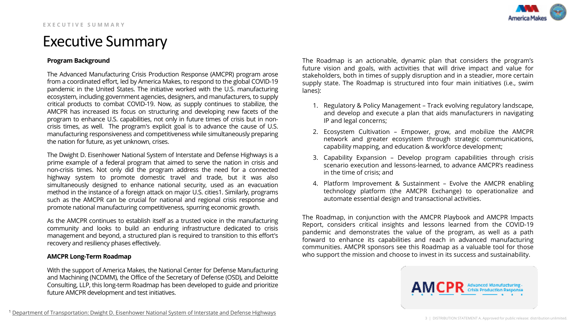### <span id="page-2-0"></span>Executive Summary

#### **Program Background**

The Advanced Manufacturing Crisis Production Response (AMCPR) program arose from a coordinated effort, led by America Makes, to respond to the global COVID-19 pandemic in the United States. The initiative worked with the U.S. manufacturing ecosystem, including government agencies, designers, and manufacturers, to supply critical products to combat COVID-19. Now, as supply continues to stabilize, the AMCPR has increased its focus on structuring and developing new facets of the program to enhance U.S. capabilities, not only in future times of crisis but in noncrisis times, as well. The program's explicit goal is to advance the cause of U.S. manufacturing responsiveness and competitiveness while simultaneously preparing the nation for future, as yet unknown, crises.

The Dwight D. Eisenhower National System of Interstate and Defense Highways is a prime example of a federal program that aimed to serve the nation in crisis and non-crisis times. Not only did the program address the need for a connected highway system to promote domestic travel and trade, but it was also simultaneously designed to enhance national security, used as an evacuation method in the instance of a foreign attack on major U.S. cities1. Similarly, programs such as the AMCPR can be crucial for national and regional crisis response and promote national manufacturing competitiveness, spurring economic growth.

As the AMCPR continues to establish itself as a trusted voice in the manufacturing community and looks to build an enduring infrastructure dedicated to crisis management and beyond, a structured plan is required to transition to this effort's recovery and resiliency phases effectively.

#### **AMCPR Long-Term Roadmap**

With the support of America Makes, the National Center for Defense Manufacturing and Machining (NCDMM), the Office of the Secretary of Defense (OSD), and Deloitte Consulting, LLP, this long-term Roadmap has been developed to guide and prioritize future AMCPR development and test initiatives.

The Roadmap is an actionable, dynamic plan that considers the program's future vision and goals, with activities that will drive impact and value for stakeholders, both in times of supply disruption and in a steadier, more certain supply state. The Roadmap is structured into four main initiatives (i.e., swim lanes):

- 1. Regulatory & Policy Management Track evolving regulatory landscape, and develop and execute a plan that aids manufacturers in navigating IP and legal concerns;
- 2. Ecosystem Cultivation Empower, grow, and mobilize the AMCPR network and greater ecosystem through strategic communications, capability mapping, and education & workforce development;
- 3. Capability Expansion Develop program capabilities through crisis scenario execution and lessons-learned, to advance AMCPR's readiness in the time of crisis; and
- 4. Platform Improvement & Sustainment Evolve the AMCPR enabling technology platform (the AMCPR Exchange) to operationalize and automate essential design and transactional activities.

The Roadmap, in conjunction with the AMCPR Playbook and AMCPR Impacts Report, considers critical insights and lessons learned from the COVID-19 pandemic and demonstrates the value of the program, as well as a path forward to enhance its capabilities and reach in advanced manufacturing communities. AMCPR sponsors see this Roadmap as a valuable tool for those who support the mission and choose to invest in its success and sustainability.

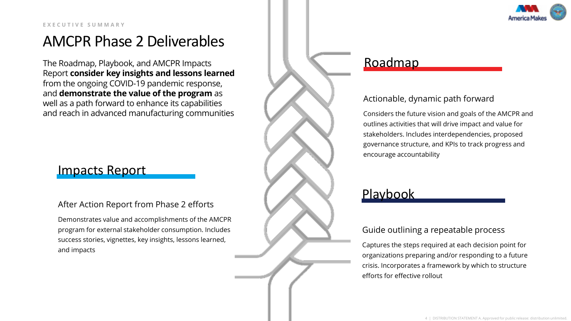

### AMCPR Phase 2 Deliverables

The Roadmap, Playbook, and AMCPR Impacts Report **consider key insights and lessons learned**  from the ongoing COVID-19 pandemic response, and **demonstrate the value of the program** as well as a path forward to enhance its capabilities and reach in advanced manufacturing communities

### Impacts Report

#### After Action Report from Phase 2 efforts

Demonstrates value and accomplishments of the AMCPR program for external stakeholder consumption. Includes success stories, vignettes, key insights, lessons learned, and impacts



### Roadmap

#### Actionable, dynamic path forward

Considers the future vision and goals of the AMCPR and outlines activities that will drive impact and value for stakeholders. Includes interdependencies, proposed governance structure, and KPIs to track progress and encourage accountability

### Playbook

#### Guide outlining a repeatable process

Captures the steps required at each decision point for organizations preparing and/or responding to a future crisis. Incorporates a framework by which to structure efforts for effective rollout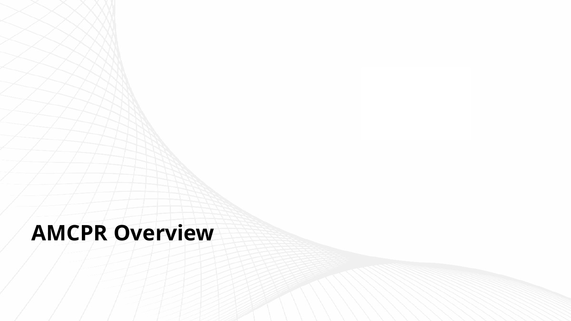## <span id="page-4-0"></span>**AMCPR Overview**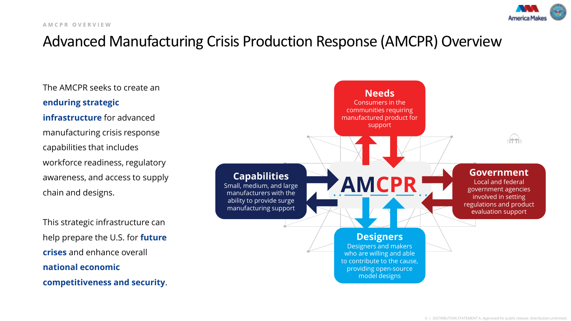

### Advanced Manufacturing Crisis Production Response (AMCPR) Overview

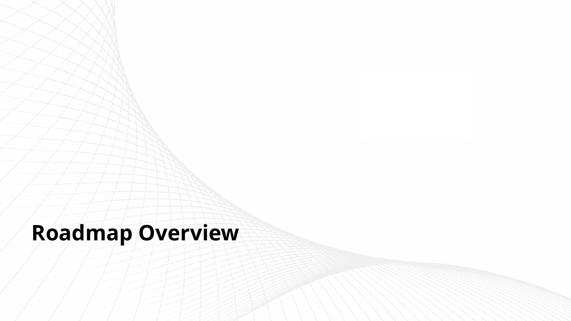## <span id="page-6-0"></span>**Roadmap Overview**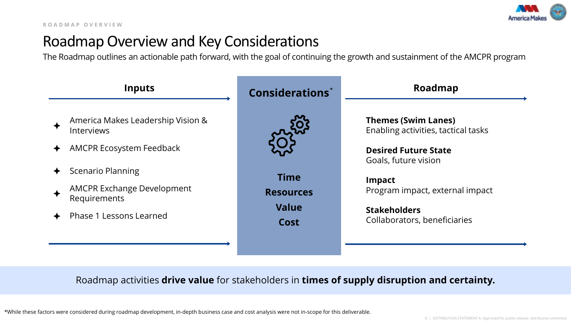

### Roadmap Overview and Key Considerations

The Roadmap outlines an actionable path forward, with the goal of continuing the growth and sustainment of the AMCPR program



### Roadmap activities **drive value** for stakeholders in **times of supply disruption and certainty.**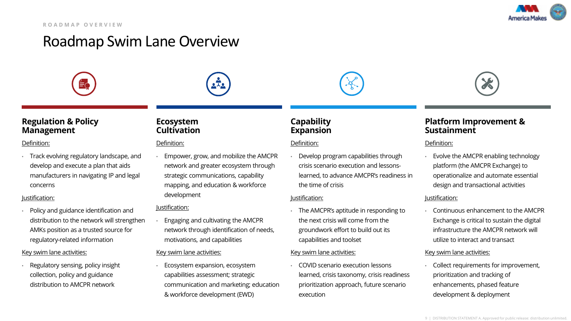

### Roadmap Swim Lane Overview









#### **Regulation & Policy Management**

#### Definition:

• Track evolving regulatory landscape, and develop and execute a plan that aids manufacturers in navigating IP and legal concerns

#### Justification:

• Policy and guidance identification and distribution to the network will strengthen AMKs position as a trusted source for regulatory-related information

#### Key swim lane activities:

• Regulatory sensing, policy insight collection, policy and guidance distribution to AMCPR network

#### **Ecosystem Cultivation**

#### Definition:

• Empower, grow, and mobilize the AMCPR network and greater ecosystem through strategic communications, capability mapping, and education & workforce development

#### Justification:

• Engaging and cultivating the AMCPR network through identification of needs, motivations, and capabilities

#### Key swim lane activities:

• Ecosystem expansion, ecosystem capabilities assessment; strategic communication and marketing; education & workforce development (EWD)

#### **Capability Expansion**

#### Definition:

• Develop program capabilities through crisis scenario execution and lessonslearned, to advance AMCPR's readiness in the time of crisis

#### Justification:

• The AMCPR's aptitude in responding to the next crisis will come from the groundwork effort to build out its capabilities and toolset

#### Key swim lane activities:

• COVID scenario execution lessons learned, crisis taxonomy, crisis readiness prioritization approach, future scenario execution

#### **Platform Improvement & Sustainment**

#### Definition:

• Evolve the AMCPR enabling technology platform (the AMCPR Exchange) to operationalize and automate essential design and transactional activities

#### Justification:

• Continuous enhancement to the AMCPR Exchange is critical to sustain the digital infrastructure the AMCPR network will utilize to interact and transact

#### Key swim lane activities:

• Collect requirements for improvement, prioritization and tracking of enhancements, phased feature development & deployment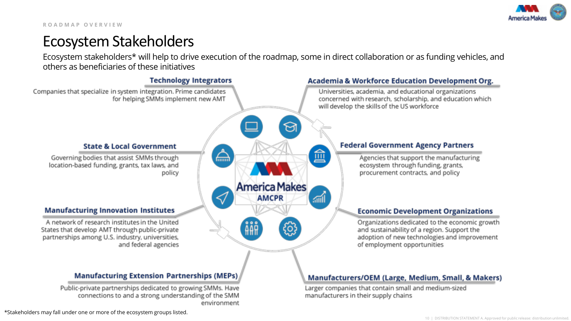

### Ecosystem Stakeholders

Ecosystem stakeholders\* will help to drive execution of the roadmap, some in direct collaboration or as funding vehicles, and others as beneficiaries of these initiatives

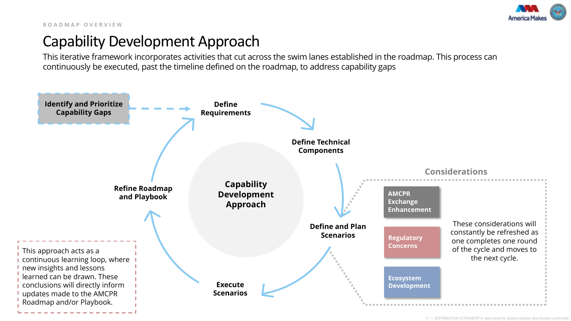

### Capability Development Approach

This iterative framework incorporates activities that cut across the swim lanes established in the roadmap. This process can continuously be executed, past the timeline defined on the roadmap, to address capability gaps

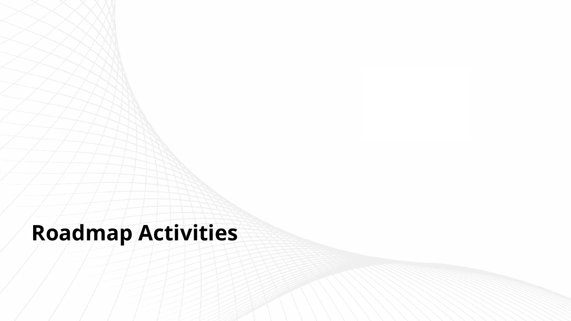# <span id="page-11-0"></span>**Roadmap Activities**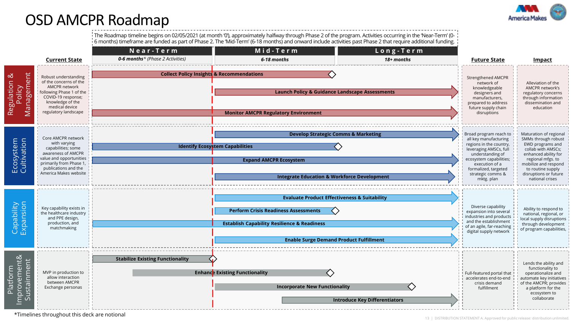

### <span id="page-12-0"></span>OSD AMCPR Roadmap

The Roadmap timeline begins on 02/05/2021 (at month '0'), approximately halfway through Phase 2 of the program. Activities occurring in the 'Near-Term' (0- 6 months) timeframe are funded as part of Phase 2. The 'Mid-Term' (6-18 months) and onward include activities past Phase 2 that require additional funding.

|                                                                                        |                                                                                                                                                                                       | Near-Term                                            | Mid-Term                                                                                                                                                                                                                         | Long-Term                                                                                                                                                                                                                     |                                                                                                                                                         |                                                                                                                                                                            |
|----------------------------------------------------------------------------------------|---------------------------------------------------------------------------------------------------------------------------------------------------------------------------------------|------------------------------------------------------|----------------------------------------------------------------------------------------------------------------------------------------------------------------------------------------------------------------------------------|-------------------------------------------------------------------------------------------------------------------------------------------------------------------------------------------------------------------------------|---------------------------------------------------------------------------------------------------------------------------------------------------------|----------------------------------------------------------------------------------------------------------------------------------------------------------------------------|
|                                                                                        | <b>Current State</b>                                                                                                                                                                  | 0-6 months* (Phase 2 Activities)                     | 6-18 months                                                                                                                                                                                                                      | 18+ months                                                                                                                                                                                                                    | <b>Future State</b>                                                                                                                                     | <u>Impact</u>                                                                                                                                                              |
| Management<br>ళ<br>Regulation<br>Policy                                                | Robust understanding<br>of the concerns of the<br>AMCPR network<br>following Phase 1 of the<br>COVID-19 response;<br>knowledge of the<br>medical device<br>regulatory landscape       | <b>Collect Policy Insights &amp; Recommendations</b> | <b>Strengthened AMCPR</b><br>network of<br>knowledgeable<br>designers and<br>manufacturers,<br>prepared to address<br>future supply chain<br>disruptions                                                                         | Alleviation of the<br>AMCPR network's<br>regulatory concerns<br>through information<br>dissemination and<br>education                                                                                                         |                                                                                                                                                         |                                                                                                                                                                            |
| Ecosystem<br>Cultivation                                                               | Core AMCPR network<br>with varying<br>capabilities; some<br>awareness of AMCPR<br>value and opportunities<br>primarily from Phase 1,<br>publications and the<br>America Makes website | <b>Identify Ecosystem Capabilities</b>               | Broad program reach to<br>all key manufacturing<br>regions in the country,<br>leveraging AMSCs, full<br>understanding of<br>ecosystem capabilities;<br>execution of a<br>formalized, targeted<br>strategic comms &<br>mktg. plan | Maturation of regional<br>SMMs through robust<br>EWD programs and<br>collab with AMSCs;<br>enhanced ability for<br>regional mfgs. to<br>mobilize and respond<br>to routine supply<br>disruptions or future<br>national crises |                                                                                                                                                         |                                                                                                                                                                            |
| Capability<br>Expansion                                                                | Key capability exists in<br>the healthcare industry<br>and PPE design,<br>production, and<br>matchmaking                                                                              |                                                      | <b>Evaluate Product Effectiveness &amp; Suitability</b><br><b>Perform Crisis Readiness Assessments</b><br><b>Establish Capability Resilience &amp; Readiness</b><br><b>Enable Surge Demand Product Fulfillment</b>               |                                                                                                                                                                                                                               | Diverse capability<br>expansion into several<br>industries and products<br>and the establishment<br>of an agile, far-reaching<br>digital supply network | Ability to respond to<br>national, regional, or<br>local supply disruptions<br>through development<br>of program capabilities,                                             |
| Improvement&<br>Sustainment<br>tform<br>$\overline{\sigma}$<br>$\overline{\mathbf{r}}$ | MVP in production to<br>allow interaction<br>between AMCPR<br>Exchange personas                                                                                                       | <b>Stabilize Existing Functionality</b>              | <b>Enhance Existing Functionality</b><br><b>Incorporate New Functionality</b>                                                                                                                                                    | <b>Introduce Key Differentiators</b>                                                                                                                                                                                          | Full-featured portal that<br>accelerates end-to-end<br>crisis demand<br>fulfillment                                                                     | Lends the ability and<br>functionality to<br>operationalize and<br>automate key initiatives<br>of the AMCPR; provides<br>a platform for the<br>ecosystem to<br>collaborate |

\*Timelines throughout this deck are notional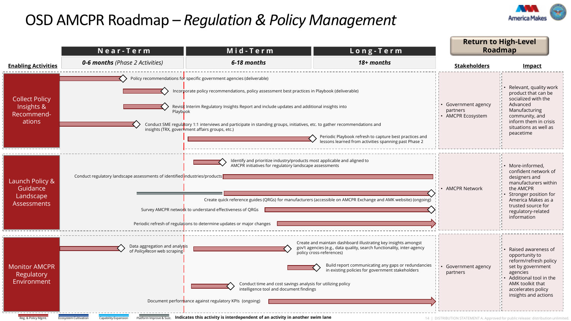### <span id="page-13-0"></span>OSD AMCPR Roadmap – *Regulation & Policy Management*



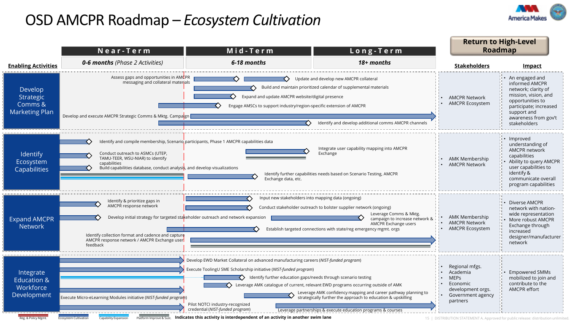### OSD AMCPR Roadmap – *Ecosystem Cultivation*



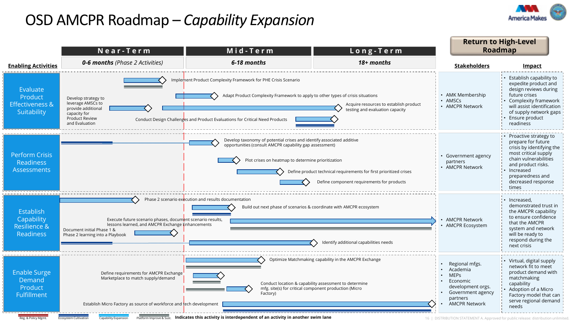### OSD AMCPR Roadmap – *Capability Expansion*





16 | DISTRIBUTION STATEMENT /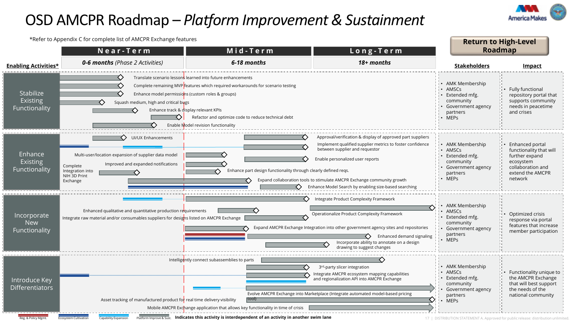### OSD AMCPR Roadmap – *Platform Improvement & Sustainment*

Reg. & Policy Mgmt. Ecosystem Cultivation Capability Expansion Platform Improve & Sust. **Indicates this activity is interdependent of an activity in another swim lane**



\*Refer to Appendix C for complete list of AMCPR Exchange features **Return to High-Level Near - Term Mid - Term Roadmap Long - Term** *0-6 months (Phase 2 Activities) 18+ months 6-18 months* **Enabling Activities\* Stakeholders Impact** Translate scenario lessons learned into future enhancements • AMK Membership Complete remaining MVP features which required workarounds for scenario testing • Fully functional • AMSCs Stabilize Enhance model permissions (custom roles & groups) repository portal that Extended mfg. **Existing** community supports community Squash medium, high and critical bugs • Government agency needs in peacetime Functionality Enhance track & display relevant KPIs partners and crises Refactor and optimize code to reduce technical debt • MEPs Enable Model revision functionality UI/UX Enhancements **Approved part suppliers** Approval/verification & display of approved part suppliers く〉 Implement qualified supplier metrics to foster confidence • AMK Membership • Enhanced portal between supplier and requestor • AMSCs functionality that will Enhance Multi-user/location expansion of supplier data model further expand Extended mfg. Enable personalized user reports Existing community ecosystem Improved and expanded notifications Complete collaboration and • Government agency Functionality Enhance part design functionality through clearly defined reqs. Integration into extend the AMCPR partners NIH 3D Print • MEPs network Expand collaboration tools to stimulate AMCPR Exchange community growth てゝ Exchange ↷ Enhance Model Search by enabling size-based searching Integrate Product Complexity Framework • AMK Membership Enhanced qualitative and quantitative production requirements • AMSCs Operationalize Product Complexity Framework Incorporate • Optimized crisis Integrate raw material and/or consumables suppliers for designs listed on AMCPR Exchange Extended mfg. response via portal New community features that increase Expand AMCPR Exchange Integration into other government agency sites and repositories • Government agency Functionality member participation partners Enhanced demand signaling • MEPs Incorporate ability to annotate on a design drawing to suggest changes Intelligently connect subassemblies to parts • AMK Membership 3<sup>rd</sup>-party slicer integration • AMSCs • Functionality unique to Integrate AMCPR ecosystem mapping capabilities Extended mfg. the AMCPR Exchange Introduce Key and regionalization API into AMCPR Exchange community that will best support Differentiators the needs of the • Government agency Evolve AMCPR Exchange into Marketplace (Integrate automated model-based pricing partners national community Asset tracking of manufactured product for real time delivery visibility tool) • MEPs Mobile AMCPR Exchange application that allows key functionality in time of crisis

17 | DISTRIBUTION STATEMENT A. Approved for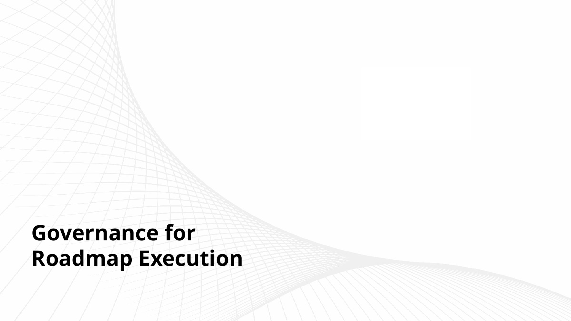# <span id="page-17-0"></span>**Governance for Roadmap Execution**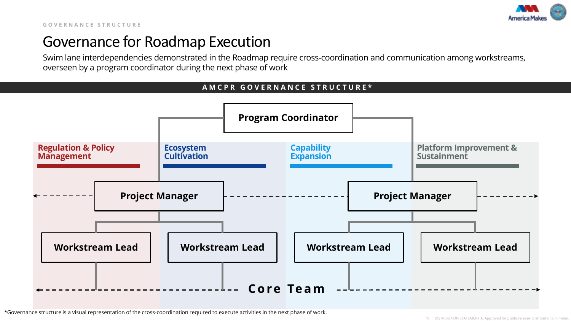

### Governance for Roadmap Execution

Swim lane interdependencies demonstrated in the Roadmap require cross-coordination and communication among workstreams, overseen by a program coordinator during the next phase of work

#### **AMCPR GOVERNANCE STRUCTURE\***



\*Governance structure is a visual representation of the cross-coordination required to execute activities in the next phase of work.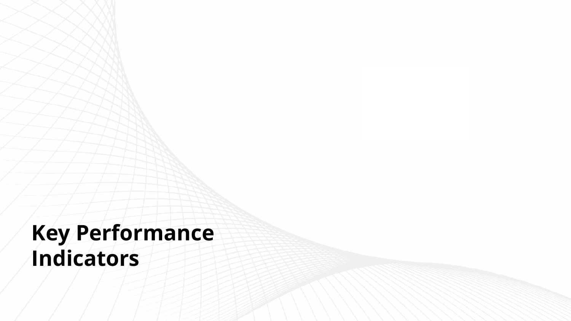# <span id="page-19-0"></span>**Key Performance Indicators**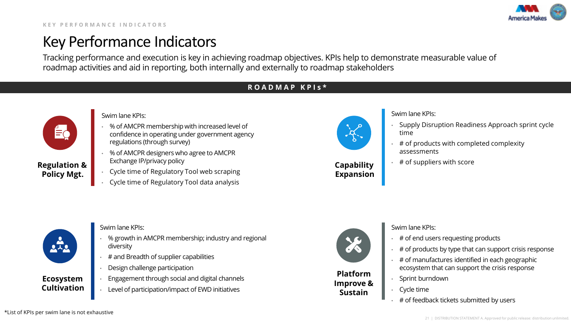

### Key Performance Indicators

Tracking performance and execution is key in achieving roadmap objectives. KPIs help to demonstrate measurable value of roadmap activities and aid in reporting, both internally and externally to roadmap stakeholders

#### **ROADMAP KPIs\***



**Policy Mgt.**

Swim lane KPIs:

- % of AMCPR membership with increased level of confidence in operating under government agency regulations (through survey)
- % of AMCPR designers who agree to AMCPR Exchange IP/privacy policy **Regulation & Exchange IP/privacy policy** and the set of suppliers with score **Capability Capability Exchange IP/privacy policy** 
	- Cycle time of Regulatory Tool web scraping
	- Cycle time of Regulatory Tool data analysis



**Capability Expansion** Swim lane KPIs:

- Supply Disruption Readiness Approach sprint cycle time
- # of products with completed complexity assessments
- 



#### **Ecosystem Cultivation**

- Swim lane KPIs:
- % growth in AMCPR membership; industry and regional diversity
- # and Breadth of supplier capabilities
- Design challenge participation
- Engagement through social and digital channels
- Level of participation/impact of EWD initiatives



**Platform Improve & Sustain**

Swim lane KPIs:

- # of end users requesting products
- # of products by type that can support crisis response
- # of manufactures identified in each geographic ecosystem that can support the crisis response
- Sprint burndown
- Cycle time
- # of feedback tickets submitted by users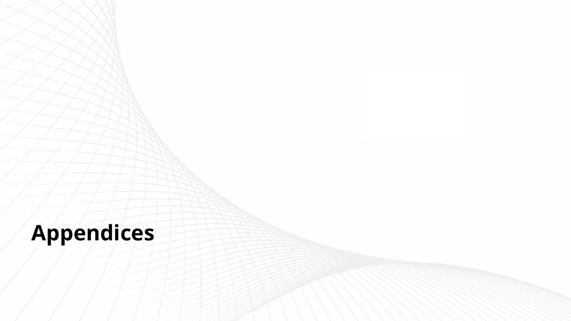# **Appendices**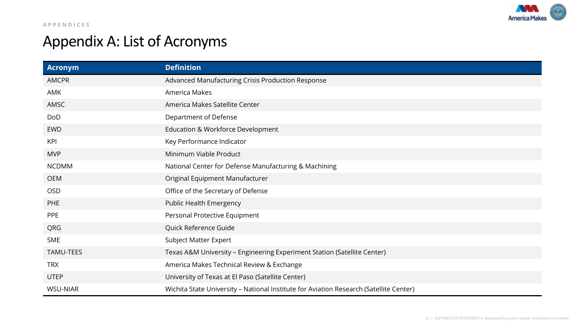

## <span id="page-22-0"></span>Appendix A: List of Acronyms

| <b>Acronym</b>  | <b>Definition</b>                                                                      |
|-----------------|----------------------------------------------------------------------------------------|
| AMCPR           | Advanced Manufacturing Crisis Production Response                                      |
| <b>AMK</b>      | America Makes                                                                          |
| AMSC            | America Makes Satellite Center                                                         |
| <b>DoD</b>      | Department of Defense                                                                  |
| <b>EWD</b>      | Education & Workforce Development                                                      |
| <b>KPI</b>      | Key Performance Indicator                                                              |
| <b>MVP</b>      | Minimum Viable Product                                                                 |
| <b>NCDMM</b>    | National Center for Defense Manufacturing & Machining                                  |
| <b>OEM</b>      | Original Equipment Manufacturer                                                        |
| <b>OSD</b>      | Office of the Secretary of Defense                                                     |
| <b>PHE</b>      | Public Health Emergency                                                                |
| PPE             | Personal Protective Equipment                                                          |
| QRG             | Quick Reference Guide                                                                  |
| <b>SME</b>      | Subject Matter Expert                                                                  |
| TAMU-TEES       | Texas A&M University - Engineering Experiment Station (Satellite Center)               |
| <b>TRX</b>      | America Makes Technical Review & Exchange                                              |
| <b>UTEP</b>     | University of Texas at El Paso (Satellite Center)                                      |
| <b>WSU-NIAR</b> | Wichita State University - National Institute for Aviation Research (Satellite Center) |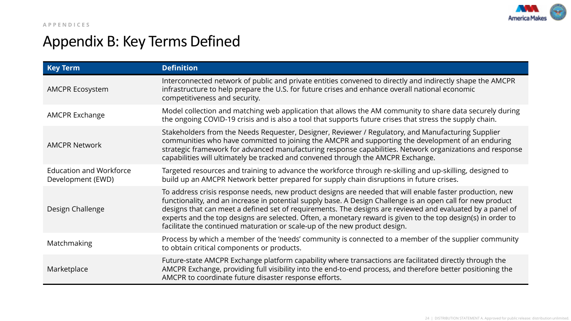

## <span id="page-23-0"></span>Appendix B: Key Terms Defined

| <b>Key Term</b>                                                                                                                                                                                                                               | <b>Definition</b>                                                                                                                                                                                                                                                                                                                                                                                                                                                                                                                  |
|-----------------------------------------------------------------------------------------------------------------------------------------------------------------------------------------------------------------------------------------------|------------------------------------------------------------------------------------------------------------------------------------------------------------------------------------------------------------------------------------------------------------------------------------------------------------------------------------------------------------------------------------------------------------------------------------------------------------------------------------------------------------------------------------|
| <b>AMCPR Ecosystem</b>                                                                                                                                                                                                                        | Interconnected network of public and private entities convened to directly and indirectly shape the AMCPR<br>infrastructure to help prepare the U.S. for future crises and enhance overall national economic<br>competitiveness and security.                                                                                                                                                                                                                                                                                      |
| Model collection and matching web application that allows the AM community to share data securely during<br><b>AMCPR Exchange</b><br>the ongoing COVID-19 crisis and is also a tool that supports future crises that stress the supply chain. |                                                                                                                                                                                                                                                                                                                                                                                                                                                                                                                                    |
| <b>AMCPR Network</b>                                                                                                                                                                                                                          | Stakeholders from the Needs Requester, Designer, Reviewer / Regulatory, and Manufacturing Supplier<br>communities who have committed to joining the AMCPR and supporting the development of an enduring<br>strategic framework for advanced manufacturing response capabilities. Network organizations and response<br>capabilities will ultimately be tracked and convened through the AMCPR Exchange.                                                                                                                            |
| <b>Education and Workforce</b><br>Development (EWD)                                                                                                                                                                                           | Targeted resources and training to advance the workforce through re-skilling and up-skilling, designed to<br>build up an AMCPR Network better prepared for supply chain disruptions in future crises.                                                                                                                                                                                                                                                                                                                              |
| Design Challenge                                                                                                                                                                                                                              | To address crisis response needs, new product designs are needed that will enable faster production, new<br>functionality, and an increase in potential supply base. A Design Challenge is an open call for new product<br>designs that can meet a defined set of requirements. The designs are reviewed and evaluated by a panel of<br>experts and the top designs are selected. Often, a monetary reward is given to the top design(s) in order to<br>facilitate the continued maturation or scale-up of the new product design. |
| Matchmaking                                                                                                                                                                                                                                   | Process by which a member of the 'needs' community is connected to a member of the supplier community<br>to obtain critical components or products.                                                                                                                                                                                                                                                                                                                                                                                |
| Marketplace                                                                                                                                                                                                                                   | Future-state AMCPR Exchange platform capability where transactions are facilitated directly through the<br>AMCPR Exchange, providing full visibility into the end-to-end process, and therefore better positioning the<br>AMCPR to coordinate future disaster response efforts.                                                                                                                                                                                                                                                    |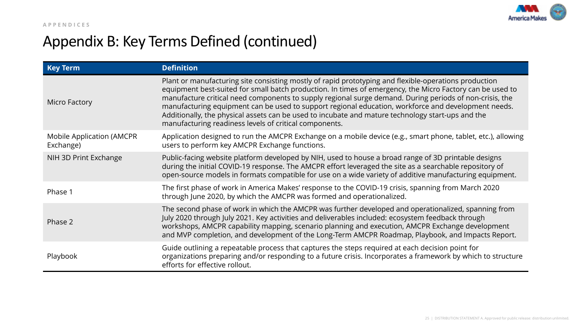

### Appendix B: Key Terms Defined (continued)

| <b>Key Term</b>                        | <b>Definition</b>                                                                                                                                                                                                                                                                                                                                                                                                                                                                                                                                                                                   |
|----------------------------------------|-----------------------------------------------------------------------------------------------------------------------------------------------------------------------------------------------------------------------------------------------------------------------------------------------------------------------------------------------------------------------------------------------------------------------------------------------------------------------------------------------------------------------------------------------------------------------------------------------------|
| Micro Factory                          | Plant or manufacturing site consisting mostly of rapid prototyping and flexible-operations production<br>equipment best-suited for small batch production. In times of emergency, the Micro Factory can be used to<br>manufacture critical need components to supply regional surge demand. During periods of non-crisis, the<br>manufacturing equipment can be used to support regional education, workforce and development needs.<br>Additionally, the physical assets can be used to incubate and mature technology start-ups and the<br>manufacturing readiness levels of critical components. |
| Mobile Application (AMCPR<br>Exchange) | Application designed to run the AMCPR Exchange on a mobile device (e.g., smart phone, tablet, etc.), allowing<br>users to perform key AMCPR Exchange functions.                                                                                                                                                                                                                                                                                                                                                                                                                                     |
| NIH 3D Print Exchange                  | Public-facing website platform developed by NIH, used to house a broad range of 3D printable designs<br>during the initial COVID-19 response. The AMCPR effort leveraged the site as a searchable repository of<br>open-source models in formats compatible for use on a wide variety of additive manufacturing equipment.                                                                                                                                                                                                                                                                          |
| Phase 1                                | The first phase of work in America Makes' response to the COVID-19 crisis, spanning from March 2020<br>through June 2020, by which the AMCPR was formed and operationalized.                                                                                                                                                                                                                                                                                                                                                                                                                        |
| Phase 2                                | The second phase of work in which the AMCPR was further developed and operationalized, spanning from<br>July 2020 through July 2021. Key activities and deliverables included: ecosystem feedback through<br>workshops, AMCPR capability mapping, scenario planning and execution, AMCPR Exchange development<br>and MVP completion, and development of the Long-Term AMCPR Roadmap, Playbook, and Impacts Report.                                                                                                                                                                                  |
| Playbook                               | Guide outlining a repeatable process that captures the steps required at each decision point for<br>organizations preparing and/or responding to a future crisis. Incorporates a framework by which to structure<br>efforts for effective rollout.                                                                                                                                                                                                                                                                                                                                                  |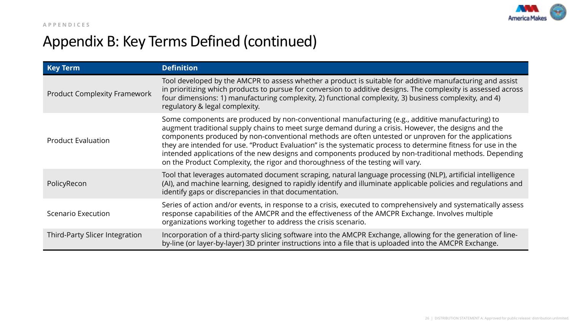

### Appendix B: Key Terms Defined (continued)

| <b>Key Term</b>                     | <b>Definition</b>                                                                                                                                                                                                                                                                                                                                                                                                                                                                                                                                                                                                             |
|-------------------------------------|-------------------------------------------------------------------------------------------------------------------------------------------------------------------------------------------------------------------------------------------------------------------------------------------------------------------------------------------------------------------------------------------------------------------------------------------------------------------------------------------------------------------------------------------------------------------------------------------------------------------------------|
| <b>Product Complexity Framework</b> | Tool developed by the AMCPR to assess whether a product is suitable for additive manufacturing and assist<br>in prioritizing which products to pursue for conversion to additive designs. The complexity is assessed across<br>four dimensions: 1) manufacturing complexity, 2) functional complexity, 3) business complexity, and 4)<br>regulatory & legal complexity.                                                                                                                                                                                                                                                       |
| <b>Product Evaluation</b>           | Some components are produced by non-conventional manufacturing (e.g., additive manufacturing) to<br>augment traditional supply chains to meet surge demand during a crisis. However, the designs and the<br>components produced by non-conventional methods are often untested or unproven for the applications<br>they are intended for use. "Product Evaluation" is the systematic process to determine fitness for use in the<br>intended applications of the new designs and components produced by non-traditional methods. Depending<br>on the Product Complexity, the rigor and thoroughness of the testing will vary. |
| PolicyRecon                         | Tool that leverages automated document scraping, natural language processing (NLP), artificial intelligence<br>(AI), and machine learning, designed to rapidly identify and illuminate applicable policies and regulations and<br>identify gaps or discrepancies in that documentation.                                                                                                                                                                                                                                                                                                                                       |
| Scenario Execution                  | Series of action and/or events, in response to a crisis, executed to comprehensively and systematically assess<br>response capabilities of the AMCPR and the effectiveness of the AMCPR Exchange. Involves multiple<br>organizations working together to address the crisis scenario.                                                                                                                                                                                                                                                                                                                                         |
| Third-Party Slicer Integration      | Incorporation of a third-party slicing software into the AMCPR Exchange, allowing for the generation of line-<br>by-line (or layer-by-layer) 3D printer instructions into a file that is uploaded into the AMCPR Exchange.                                                                                                                                                                                                                                                                                                                                                                                                    |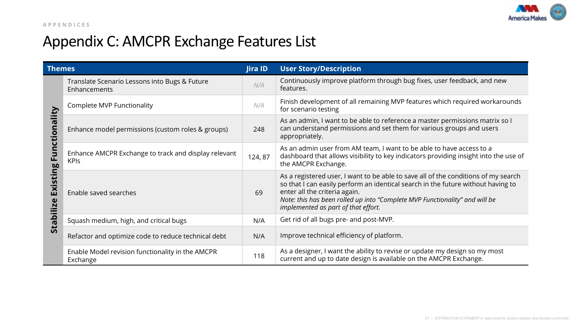

## <span id="page-26-0"></span>Appendix C: AMCPR Exchange Features List

| <b>Themes</b>          |                                                                     | Jira ID | <b>User Story/Description</b>                                                                                                                                                                                                                                                                                                 |
|------------------------|---------------------------------------------------------------------|---------|-------------------------------------------------------------------------------------------------------------------------------------------------------------------------------------------------------------------------------------------------------------------------------------------------------------------------------|
|                        | Translate Scenario Lessons into Bugs & Future<br>Enhancements       | N/A     | Continuously improve platform through bug fixes, user feedback, and new<br>features.                                                                                                                                                                                                                                          |
|                        | Complete MVP Functionality                                          | N/A     | Finish development of all remaining MVP features which required workarounds<br>for scenario testing                                                                                                                                                                                                                           |
| ctionality             | Enhance model permissions (custom roles & groups)                   | 248     | As an admin, I want to be able to reference a master permissions matrix so I<br>can understand permissions and set them for various groups and users<br>appropriately.                                                                                                                                                        |
| Ĕ<br>ப<br><u>ဗ</u> ္   | Enhance AMCPR Exchange to track and display relevant<br><b>KPIS</b> | 124,87  | As an admin user from AM team, I want to be able to have access to a<br>dashboard that allows visibility to key indicators providing insight into the use of<br>the AMCPR Exchange.                                                                                                                                           |
| Exist<br>Ñ<br>$\equiv$ | Enable saved searches                                               | 69      | As a registered user, I want to be able to save all of the conditions of my search<br>so that I can easily perform an identical search in the future without having to<br>enter all the criteria again.<br>Note: this has been rolled up into "Complete MVP Functionality" and will be<br>implemented as part of that effort. |
| <b>Stab</b>            | Squash medium, high, and critical bugs                              | N/A     | Get rid of all bugs pre- and post-MVP.                                                                                                                                                                                                                                                                                        |
|                        | Refactor and optimize code to reduce technical debt                 | N/A     | Improve technical efficiency of platform.                                                                                                                                                                                                                                                                                     |
|                        | Enable Model revision functionality in the AMCPR<br>Exchange        | 118     | As a designer, I want the ability to revise or update my design so my most<br>current and up to date design is available on the AMCPR Exchange.                                                                                                                                                                               |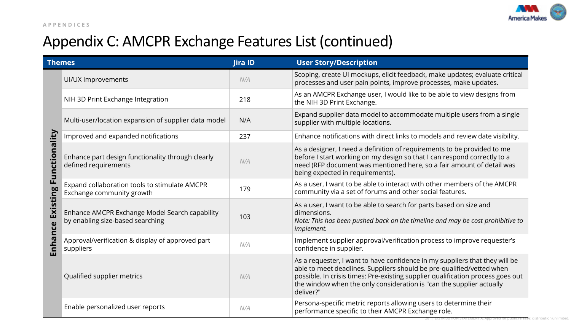

## Appendix C: AMCPR Exchange Features List (continued)

|                                   | <b>Themes</b>                                                                      | Jira ID | <b>User Story/Description</b>                                                                                                                                                                                                                                                                                                |
|-----------------------------------|------------------------------------------------------------------------------------|---------|------------------------------------------------------------------------------------------------------------------------------------------------------------------------------------------------------------------------------------------------------------------------------------------------------------------------------|
|                                   | UI/UX Improvements                                                                 | N/A     | Scoping, create UI mockups, elicit feedback, make updates; evaluate critical<br>processes and user pain points, improve processes, make updates.                                                                                                                                                                             |
|                                   | NIH 3D Print Exchange Integration                                                  | 218     | As an AMCPR Exchange user, I would like to be able to view designs from<br>the NIH 3D Print Exchange.                                                                                                                                                                                                                        |
|                                   | Multi-user/location expansion of supplier data model                               | N/A     | Expand supplier data model to accommodate multiple users from a single<br>supplier with multiple locations.                                                                                                                                                                                                                  |
|                                   | Improved and expanded notifications                                                | 237     | Enhance notifications with direct links to models and review date visibility.                                                                                                                                                                                                                                                |
|                                   | Enhance part design functionality through clearly<br>defined requirements          | N/A     | As a designer, I need a definition of requirements to be provided to me<br>before I start working on my design so that I can respond correctly to a<br>need (RFP document was mentioned here, so a fair amount of detail was<br>being expected in requirements).                                                             |
| Existing Functionality<br>Enhance | Expand collaboration tools to stimulate AMCPR<br>Exchange community growth         | 179     | As a user, I want to be able to interact with other members of the AMCPR<br>community via a set of forums and other social features.                                                                                                                                                                                         |
|                                   | Enhance AMCPR Exchange Model Search capability<br>by enabling size-based searching | 103     | As a user, I want to be able to search for parts based on size and<br>dimensions.<br>Note: This has been pushed back on the timeline and may be cost prohibitive to<br>implement.                                                                                                                                            |
|                                   | Approval/verification & display of approved part<br>suppliers                      | N/A     | Implement supplier approval/verification process to improve requester's<br>confidence in supplier.                                                                                                                                                                                                                           |
|                                   | Qualified supplier metrics                                                         | N/A     | As a requester, I want to have confidence in my suppliers that they will be<br>able to meet deadlines. Suppliers should be pre-qualified/vetted when<br>possible. In crisis times: Pre-existing supplier qualification process goes out<br>the window when the only consideration is "can the supplier actually<br>deliver?" |
|                                   | Enable personalized user reports                                                   | N/A     | Persona-specific metric reports allowing users to determine their<br>performance specific to their AMCPR Exchange role.                                                                                                                                                                                                      |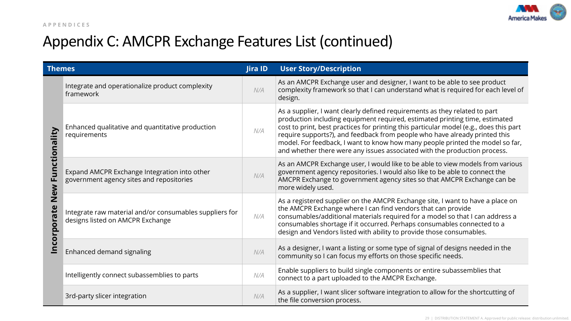

### Appendix C: AMCPR Exchange Features List (continued)

| <b>Themes</b>      |                                                                                             | Jira ID | <b>User Story/Description</b>                                                                                                                                                                                                                                                                                                                                                                                                                                                                   |  |
|--------------------|---------------------------------------------------------------------------------------------|---------|-------------------------------------------------------------------------------------------------------------------------------------------------------------------------------------------------------------------------------------------------------------------------------------------------------------------------------------------------------------------------------------------------------------------------------------------------------------------------------------------------|--|
| Functionality      | Integrate and operationalize product complexity<br>framework                                | N/A     | As an AMCPR Exchange user and designer, I want to be able to see product<br>complexity framework so that I can understand what is required for each level of<br>design.                                                                                                                                                                                                                                                                                                                         |  |
|                    | Enhanced qualitative and quantitative production<br>requirements                            | N/A     | As a supplier, I want clearly defined requirements as they related to part<br>production including equipment required, estimated printing time, estimated<br>cost to print, best practices for printing this particular model (e.g., does this part<br>require supports?), and feedback from people who have already printed this<br>model. For feedback, I want to know how many people printed the model so far,<br>and whether there were any issues associated with the production process. |  |
|                    | Expand AMCPR Exchange Integration into other<br>government agency sites and repositories    | N/A     | As an AMCPR Exchange user, I would like to be able to view models from various<br>government agency repositories. I would also like to be able to connect the<br>AMCPR Exchange to government agency sites so that AMCPR Exchange can be<br>more widely used.                                                                                                                                                                                                                                   |  |
| New<br>Incorporate | Integrate raw material and/or consumables suppliers for<br>designs listed on AMCPR Exchange | N/A     | As a registered supplier on the AMCPR Exchange site, I want to have a place on<br>the AMCPR Exchange where I can find vendors that can provide<br>consumables/additional materials required for a model so that I can address a<br>consumables shortage if it occurred. Perhaps consumables connected to a<br>design and Vendors listed with ability to provide those consumables.                                                                                                              |  |
|                    | Enhanced demand signaling                                                                   | N/A     | As a designer, I want a listing or some type of signal of designs needed in the<br>community so I can focus my efforts on those specific needs.                                                                                                                                                                                                                                                                                                                                                 |  |
|                    | Intelligently connect subassemblies to parts                                                | N/A     | Enable suppliers to build single components or entire subassemblies that<br>connect to a part uploaded to the AMCPR Exchange.                                                                                                                                                                                                                                                                                                                                                                   |  |
|                    | 3rd-party slicer integration                                                                | N/A     | As a supplier, I want slicer software integration to allow for the shortcutting of<br>the file conversion process.                                                                                                                                                                                                                                                                                                                                                                              |  |